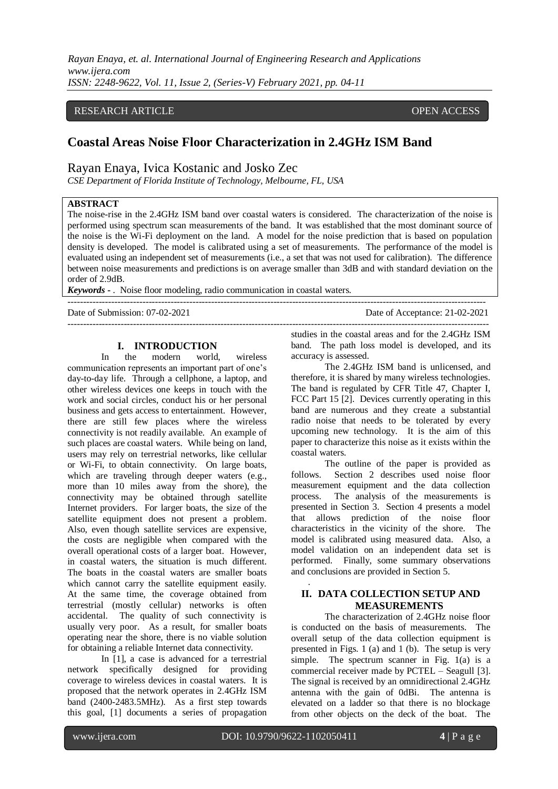*Rayan Enaya, et. al. International Journal of Engineering Research and Applications www.ijera.com ISSN: 2248-9622, Vol. 11, Issue 2, (Series-V) February 2021, pp. 04-11*

### RESEARCH ARTICLE **CONSERVERS** OPEN ACCESS

# **Coastal Areas Noise Floor Characterization in 2.4GHz ISM Band**

## Rayan Enaya, Ivica Kostanic and Josko Zec

*CSE Department of Florida Institute of Technology, Melbourne, FL, USA*

## **ABSTRACT**

The noise-rise in the 2.4GHz ISM band over coastal waters is considered. The characterization of the noise is performed using spectrum scan measurements of the band. It was established that the most dominant source of the noise is the Wi-Fi deployment on the land. A model for the noise prediction that is based on population density is developed. The model is calibrated using a set of measurements. The performance of the model is evaluated using an independent set of measurements (i.e., a set that was not used for calibration). The difference between noise measurements and predictions is on average smaller than 3dB and with standard deviation on the order of 2.9dB.

--------------------------------------------------------------------------------------------------------------------------------------

*Keywords* **-** . Noise floor modeling, radio communication in coastal waters.

Date of Submission: 07-02-2021 Date of Acceptance: 21-02-2021 ---------------------------------------------------------------------------------------------------------------------------------------

### **I. INTRODUCTION**

In the modern world, wireless communication represents an important part of one's day-to-day life. Through a cellphone, a laptop, and other wireless devices one keeps in touch with the work and social circles, conduct his or her personal business and gets access to entertainment. However, there are still few places where the wireless connectivity is not readily available. An example of such places are coastal waters. While being on land, users may rely on terrestrial networks, like cellular or Wi-Fi, to obtain connectivity. On large boats, which are traveling through deeper waters (e.g., more than 10 miles away from the shore), the connectivity may be obtained through satellite Internet providers. For larger boats, the size of the satellite equipment does not present a problem. Also, even though satellite services are expensive, the costs are negligible when compared with the overall operational costs of a larger boat. However, in coastal waters, the situation is much different. The boats in the coastal waters are smaller boats which cannot carry the satellite equipment easily. At the same time, the coverage obtained from terrestrial (mostly cellular) networks is often accidental. The quality of such connectivity is usually very poor. As a result, for smaller boats operating near the shore, there is no viable solution for obtaining a reliable Internet data connectivity.

In [1], a case is advanced for a terrestrial network specifically designed for providing coverage to wireless devices in coastal waters. It is proposed that the network operates in 2.4GHz ISM band (2400-2483.5MHz). As a first step towards this goal, [1] documents a series of propagation

studies in the coastal areas and for the 2.4GHz ISM band. The path loss model is developed, and its accuracy is assessed.

The 2.4GHz ISM band is unlicensed, and therefore, it is shared by many wireless technologies. The band is regulated by CFR Title 47, Chapter I, FCC Part 15 [2]. Devices currently operating in this band are numerous and they create a substantial radio noise that needs to be tolerated by every upcoming new technology. It is the aim of this paper to characterize this noise as it exists within the coastal waters.

The outline of the paper is provided as follows. Section 2 describes used noise floor measurement equipment and the data collection process. The analysis of the measurements is presented in Section 3. Section 4 presents a model that allows prediction of the noise floor characteristics in the vicinity of the shore. The model is calibrated using measured data. Also, a model validation on an independent data set is performed. Finally, some summary observations and conclusions are provided in Section 5.

## **II. DATA COLLECTION SETUP AND MEASUREMENTS**

The characterization of 2.4GHz noise floor is conducted on the basis of measurements. The overall setup of the data collection equipment is presented in Figs. 1 (a) and 1 (b). The setup is very simple. The spectrum scanner in Fig. 1(a) is a commercial receiver made by PCTEL – Seagull [3]. The signal is received by an omnidirectional 2.4GHz antenna with the gain of 0dBi. The antenna is elevated on a ladder so that there is no blockage from other objects on the deck of the boat. The

.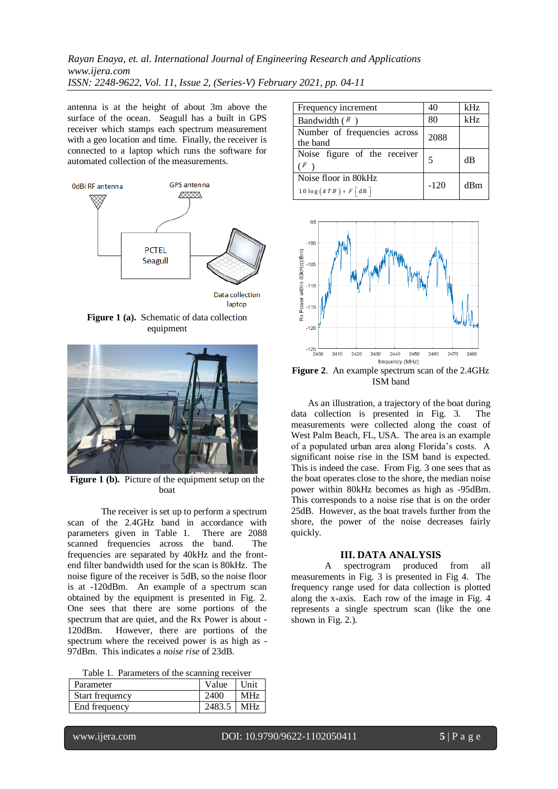*Rayan Enaya, et. al. International Journal of Engineering Research and Applications www.ijera.com ISSN: 2248-9622, Vol. 11, Issue 2, (Series-V) February 2021, pp. 04-11*

antenna is at the height of about 3m above the surface of the ocean. Seagull has a built in GPS receiver which stamps each spectrum measurement with a geo location and time. Finally, the receiver is connected to a laptop which runs the software for automated collection of the measurements.



**Figure 1 (a).** Schematic of data collection equipment



Figure 1 (b). Picture of the equipment setup on the boat

The receiver is set up to perform a spectrum scan of the 2.4GHz band in accordance with parameters given in Table 1. There are 2088 scanned frequencies across the band. The frequencies are separated by 40kHz and the frontend filter bandwidth used for the scan is 80kHz. The noise figure of the receiver is 5dB, so the noise floor is at -120dBm. An example of a spectrum scan obtained by the equipment is presented in Fig. 2. One sees that there are some portions of the spectrum that are quiet, and the Rx Power is about - 120dBm. However, there are portions of the spectrum where the received power is as high as - 97dBm. This indicates a *noise rise* of 23dB.

|  |  | Table 1. Parameters of the scanning receiver |  |  |  |
|--|--|----------------------------------------------|--|--|--|
|--|--|----------------------------------------------|--|--|--|

| Parameter       | Value        | Unit       |
|-----------------|--------------|------------|
| Start frequency | 2400         | <b>MHz</b> |
| End frequency   | $2483.5$ MHz |            |

| Frequency increment                                       | 40     | kHz |
|-----------------------------------------------------------|--------|-----|
| Bandwidth $(B)$                                           | 80     | kHz |
| Number of frequencies across<br>the band                  | 2088   |     |
| Noise figure of the receiver<br>( F                       | 5      | dB  |
| Noise floor in 80kHz<br>$10\log (kTB) + F \vert dB \vert$ | $-120$ | dBm |



**Figure 2**. An example spectrum scan of the 2.4GHz ISM band

As an illustration, a trajectory of the boat during data collection is presented in Fig. 3. The measurements were collected along the coast of West Palm Beach, FL, USA. The area is an example of a populated urban area along Florida's costs. A significant noise rise in the ISM band is expected. This is indeed the case. From Fig. 3 one sees that as the boat operates close to the shore, the median noise power within 80kHz becomes as high as -95dBm. This corresponds to a noise rise that is on the order 25dB. However, as the boat travels further from the shore, the power of the noise decreases fairly quickly.

#### **III. DATA ANALYSIS**

A spectrogram produced from all measurements in Fig. 3 is presented in Fig 4. The frequency range used for data collection is plotted along the x-axis. Each row of the image in Fig. 4 represents a single spectrum scan (like the one shown in Fig. 2.).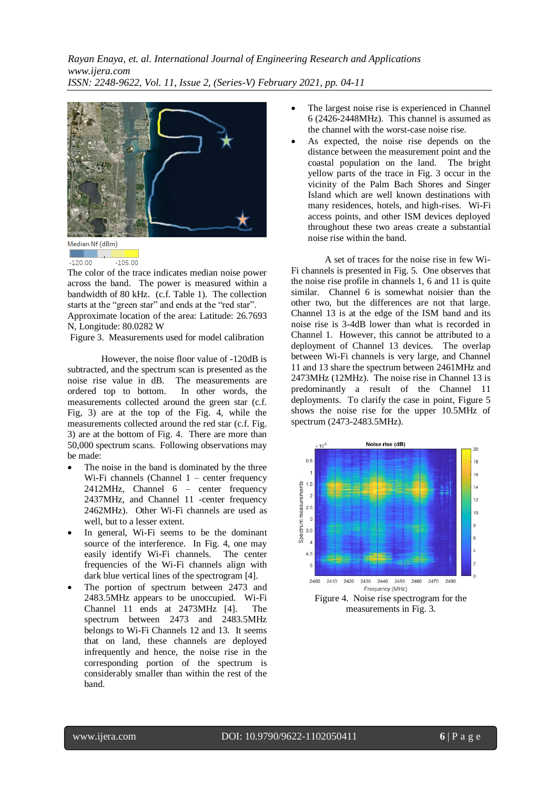

Median Nf (dBm)

 $-105.00$  $-120.00$ 

The color of the trace indicates median noise power across the band. The power is measured within a bandwidth of 80 kHz. (c.f. Table 1). The collection starts at the "green star" and ends at the "red star".

Approximate location of the area: Latitude: 26.7693 N, Longitude: 80.0282 W

Figure 3. Measurements used for model calibration

However, the noise floor value of -120dB is subtracted, and the spectrum scan is presented as the noise rise value in dB. The measurements are ordered top to bottom. In other words, the measurements collected around the green star (c.f. Fig, 3) are at the top of the Fig. 4, while the measurements collected around the red star (c.f. Fig. 3) are at the bottom of Fig. 4. There are more than 50,000 spectrum scans. Following observations may be made:

- The noise in the band is dominated by the three Wi-Fi channels (Channel  $1$  – center frequency 2412MHz, Channel 6 – center frequency 2437MHz, and Channel 11 -center frequency 2462MHz). Other Wi-Fi channels are used as well, but to a lesser extent.
- In general, Wi-Fi seems to be the dominant source of the interference. In Fig. 4, one may easily identify Wi-Fi channels. The center frequencies of the Wi-Fi channels align with dark blue vertical lines of the spectrogram [4].
- The portion of spectrum between 2473 and 2483.5MHz appears to be unoccupied. Wi-Fi Channel 11 ends at 2473MHz [4]. The spectrum between 2473 and 2483.5MHz belongs to Wi-Fi Channels 12 and 13. It seems that on land, these channels are deployed infrequently and hence, the noise rise in the corresponding portion of the spectrum is considerably smaller than within the rest of the band.
- The largest noise rise is experienced in Channel 6 (2426-2448MHz). This channel is assumed as the channel with the worst-case noise rise.
- As expected, the noise rise depends on the distance between the measurement point and the coastal population on the land. The bright yellow parts of the trace in Fig. 3 occur in the vicinity of the Palm Bach Shores and Singer Island which are well known destinations with many residences, hotels, and high-rises. Wi-Fi access points, and other ISM devices deployed throughout these two areas create a substantial noise rise within the band.

A set of traces for the noise rise in few Wi-Fi channels is presented in Fig. 5. One observes that the noise rise profile in channels 1, 6 and 11 is quite similar. Channel 6 is somewhat noisier than the other two, but the differences are not that large. Channel 13 is at the edge of the ISM band and its noise rise is 3-4dB lower than what is recorded in Channel 1. However, this cannot be attributed to a deployment of Channel 13 devices. The overlap between Wi-Fi channels is very large, and Channel 11 and 13 share the spectrum between 2461MHz and 2473MHz (12MHz). The noise rise in Channel 13 is predominantly a result of the Channel 11 deployments. To clarify the case in point, Figure 5 shows the noise rise for the upper 10.5MHz of spectrum (2473-2483.5MHz).



measurements in Fig. 3.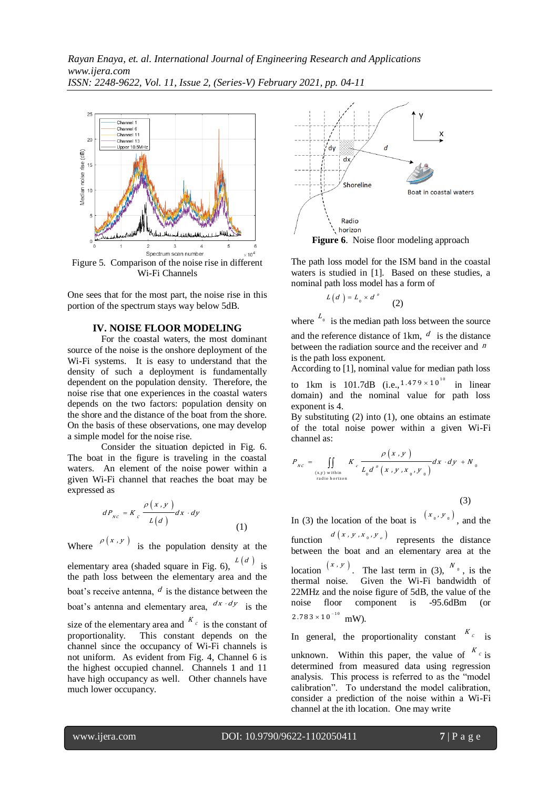

Wi-Fi Channels

One sees that for the most part, the noise rise in this portion of the spectrum stays way below 5dB.

### **IV. NOISE FLOOR MODELING**

For the coastal waters, the most dominant source of the noise is the onshore deployment of the Wi-Fi systems. It is easy to understand that the density of such a deployment is fundamentally dependent on the population density. Therefore, the noise rise that one experiences in the coastal waters depends on the two factors: population density on the shore and the distance of the boat from the shore. On the basis of these observations, one may develop a simple model for the noise rise.

Consider the situation depicted in Fig. 6. The boat in the figure is traveling in the coastal waters. An element of the noise power within a given Wi-Fi channel that reaches the boat may be expressed as

$$
dP_{_{NC}} = K_c \frac{\rho(x, y)}{L(d)} dx \cdot dy \tag{1}
$$

Where  $\rho(x, y)$  is the population density at the elementary area (shaded square in Fig. 6),  $L(d)$  is the path loss between the elementary area and the boat's receive antenna,  $d$  is the distance between the boat's antenna and elementary area,  $\frac{dx \cdot dy}{dx}$  is the size of the elementary area and  $K_c$  is the constant of proportionality. This constant depends on the channel since the occupancy of Wi-Fi channels is not uniform. As evident from Fig. 4, Channel 6 is the highest occupied channel. Channels 1 and 11 have high occupancy as well. Other channels have much lower occupancy.



The path loss model for the ISM band in the coastal waters is studied in [1]. Based on these studies, a nominal path loss model has a form of

$$
L(d) = L_0 \times d^n \qquad (2)
$$

where  $L_0$  is the median path loss between the source and the reference distance of 1km,  $d$  is the distance between the radiation source and the receiver and <sup>n</sup> is the path loss exponent.

According to [1], nominal value for median path loss to 1km is 101.7dB (i.e.,  $1.479 \times 10^{10}$  in linear domain) and the nominal value for path loss

exponent is 4. By substituting  $(2)$  into  $(1)$ , one obtains an estimate of the total noise power within a given Wi-Fi channel as:

$$
P_{_{NC}} = \iint\limits_{\substack{(x,y)\text{ within }\\ \text{radio horizon}}} K_c \frac{\rho(x,y)}{L_0 d^n(x,y,x_0,y_0)} dx \cdot dy + N_0
$$

(3)

In (3) the location of the boat is  $(x_0, y_0)$ , and the function  $d(x, y, x_{0}, y_{0})$  represents the distance between the boat and an elementary area at the

location  $(x, y)$ . The last term in (3),  $N_{\circ}$ , is the thermal noise. Given the Wi-Fi bandwidth of 22MHz and the noise figure of 5dB, the value of the noise floor component is -95.6dBm (or  $2.783 \times 10^{-10}$  mW).

In general, the proportionality constant  $K_c$  is unknown. Within this paper, the value of  $K_c$  is determined from measured data using regression analysis. This process is referred to as the "model calibration". To understand the model calibration, consider a prediction of the noise within a Wi-Fi channel at the ith location. One may write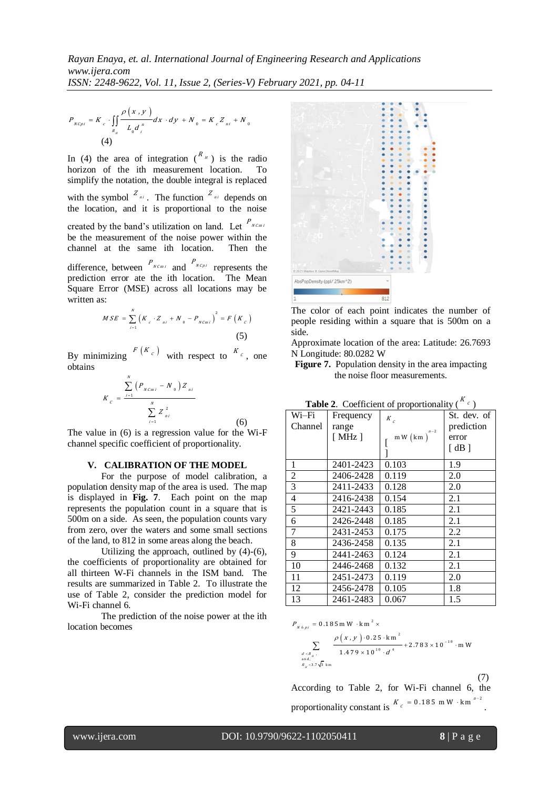*ISSN: 2248-9622, Vol. 11, Issue 2, (Series-V) February 2021, pp. 04-11*

$$
P_{_{NCpi}} = K_c \cdot \iint_{R_{_{N}}}\frac{\rho(x,y)}{L_0 d_{_I}^{^{n}}} dx \cdot dy + N_{_{0}} = K_c Z_{_{ni}} + N_{_{0}}
$$
\n(4)

In (4) the area of integration  $\binom{R_{\mu}}{R_{\mu}}$  is the radio horizon of the ith measurement location. To simplify the notation, the double integral is replaced with the symbol  $Z_{ni}$ . The function  $Z_{ni}$  depends on the location, and it is proportional to the noise created by the band's utilization on land. Let  $P_{N C m i}$ be the measurement of the noise power within the channel at the same ith location. Then the difference, between  $P_{N C m i}$  and  $P_{N C p i}$  represents the prediction error ate the ith location. The Mean Square Error (MSE) across all locations may be written as:

$$
MSE = \sum_{i=1}^{N} (K_c \cdot Z_{ni} + N_0 - P_{NCmi})^2 = F(K_c)
$$
\n(5)

By minimizing  $F(K_c)$  with respect to  $K_c$ , one obtains

$$
K_{c} = \frac{\sum_{i=1}^{N} (P_{N C m i} - N_{0}) Z_{n i}}{\sum_{i=1}^{N} Z_{n i}^{2}}
$$
(6)

The value in (6) is a regression value for the Wi-F channel specific coefficient of proportionality.

#### **V. CALIBRATION OF THE MODEL**

For the purpose of model calibration, a population density map of the area is used. The map is displayed in **Fig. 7**. Each point on the map represents the population count in a square that is 500m on a side. As seen, the population counts vary from zero, over the waters and some small sections of the land, to 812 in some areas along the beach.

Utilizing the approach, outlined by (4)-(6), the coefficients of proportionality are obtained for all thirteen W-Fi channels in the ISM band. The results are summarized in Table 2. To illustrate the use of Table 2, consider the prediction model for Wi-Fi channel 6.

The prediction of the noise power at the ith location becomes



The color of each point indicates the number of people residing within a square that is 500m on a side.

Approximate location of the area: Latitude: 26.7693 N Longitude: 80.0282 W

**Figure 7.** Population density in the area impacting the noise floor measurements.

| Table 2. Coefficient of proportionality (<br>$\mathcal{C}$ |                       |        |                      |  |  |
|------------------------------------------------------------|-----------------------|--------|----------------------|--|--|
| Wi–Fi                                                      | Frequency             | $K_c$  | St. dev. of          |  |  |
| Channel                                                    | range                 | $n-2$  | prediction           |  |  |
|                                                            | $\lceil$ MHz $\rceil$ | mW(km) | error                |  |  |
|                                                            |                       |        | $\lceil$ dB $\rceil$ |  |  |
| 1                                                          | 2401-2423             | 0.103  | 1.9                  |  |  |
| 2                                                          | 2406-2428             | 0.119  | 2.0                  |  |  |
| 3                                                          | 2411-2433             | 0.128  | 2.0                  |  |  |
| 4                                                          | 2416-2438             | 0.154  | 2.1                  |  |  |
| 5                                                          | 2421-2443             | 0.185  | 2.1                  |  |  |
| 6                                                          | 2426-2448             | 0.185  | 2.1                  |  |  |
| 7                                                          | 2431-2453             | 0.175  | 2.2                  |  |  |
| 8                                                          | 2436-2458             | 0.135  | 2.1                  |  |  |
| 9                                                          | 2441-2463             | 0.124  | 2.1                  |  |  |
| 10                                                         | 2446-2468             | 0.132  | 2.1                  |  |  |
| 11                                                         | 2451-2473             | 0.119  | 2.0                  |  |  |
| 12                                                         | 2456-2478             | 0.105  | 1.8                  |  |  |
| 13                                                         | 2461-2483             | 0.067  | 1.5                  |  |  |

 $\overline{\nu}$ 

 $_{6\pi i}$  = 0.185 m W · k m<sup>2</sup>  $= 0.185$  mW  $\cdot$  km<sup>2</sup>  $\times$ 

$$
P_{N6pi} = 0.185 \text{ m W} \cdot \text{km}^2 \times
$$
  
\n
$$
\sum_{\substack{d < R_{\mu}, \\ \text{and} \\ \text{and} \\ d_{\mu} < 3.7 \sqrt{3} \text{ km}}} \frac{\rho(x, y) \cdot 0.25 \cdot \text{km}^2}{1.479 \times 10^{10} \cdot d^4} + 2.783 \times 10^{-10} \cdot \text{m W}
$$

(7)

According to Table 2, for Wi-Fi channel 6, the proportionality constant is  $K_c = 0.185$  mW  $\cdot$  km<sup>n</sup> 2 i, .

www.ijera.com DOI: 10.9790/9622-1102050411 **8** | P a g e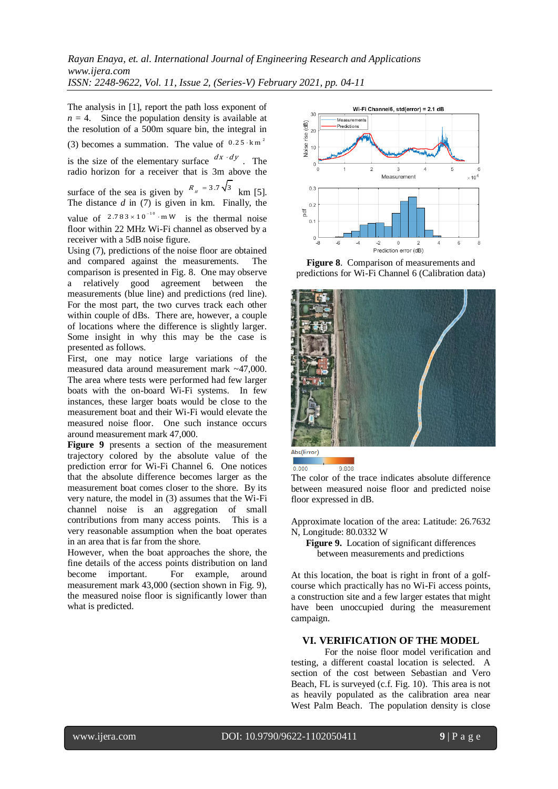The analysis in [1], report the path loss exponent of  $n = 4$ . Since the population density is available at the resolution of a 500m square bin, the integral in (3) becomes a summation. The value of  $0.25 \cdot \text{km}^2$ 

is the size of the elementary surface  $\frac{dx \cdot dy}{dx}$ . The radio horizon for a receiver that is 3m above the

surface of the sea is given by  $R_{\mu} = 3.7\sqrt{3}$  km [5]. The distance  $d$  in (7) is given in km. Finally, the value of  $2.783 \times 10^{-10}$  mW is the thermal noise floor within 22 MHz Wi-Fi channel as observed by a receiver with a 5dB noise figure.

Using (7), predictions of the noise floor are obtained and compared against the measurements. The comparison is presented in Fig. 8. One may observe a relatively good agreement between the measurements (blue line) and predictions (red line). For the most part, the two curves track each other within couple of dBs. There are, however, a couple of locations where the difference is slightly larger. Some insight in why this may be the case is presented as follows.

First, one may notice large variations of the measured data around measurement mark ~47,000. The area where tests were performed had few larger boats with the on-board Wi-Fi systems. In few instances, these larger boats would be close to the measurement boat and their Wi-Fi would elevate the measured noise floor. One such instance occurs around measurement mark 47,000.

**Figure 9** presents a section of the measurement trajectory colored by the absolute value of the prediction error for Wi-Fi Channel 6. One notices that the absolute difference becomes larger as the measurement boat comes closer to the shore. By its very nature, the model in (3) assumes that the Wi-Fi channel noise is an aggregation of small contributions from many access points. This is a very reasonable assumption when the boat operates in an area that is far from the shore.

However, when the boat approaches the shore, the fine details of the access points distribution on land become important. For example, around measurement mark 43,000 (section shown in Fig. 9), the measured noise floor is significantly lower than what is predicted.



**Figure 8**. Comparison of measurements and predictions for Wi-Fi Channel 6 (Calibration data)



Abs(Error)  $0.000$ 

9.808

The color of the trace indicates absolute difference between measured noise floor and predicted noise floor expressed in dB.

Approximate location of the area: Latitude: 26.7632 N, Longitude: 80.0332 W

**Figure 9.** Location of significant differences between measurements and predictions

At this location, the boat is right in front of a golfcourse which practically has no Wi-Fi access points, a construction site and a few larger estates that might have been unoccupied during the measurement campaign.

### **VI. VERIFICATION OF THE MODEL**

For the noise floor model verification and testing, a different coastal location is selected. A section of the cost between Sebastian and Vero Beach, FL is surveyed (c.f. Fig. 10). This area is not as heavily populated as the calibration area near West Palm Beach. The population density is close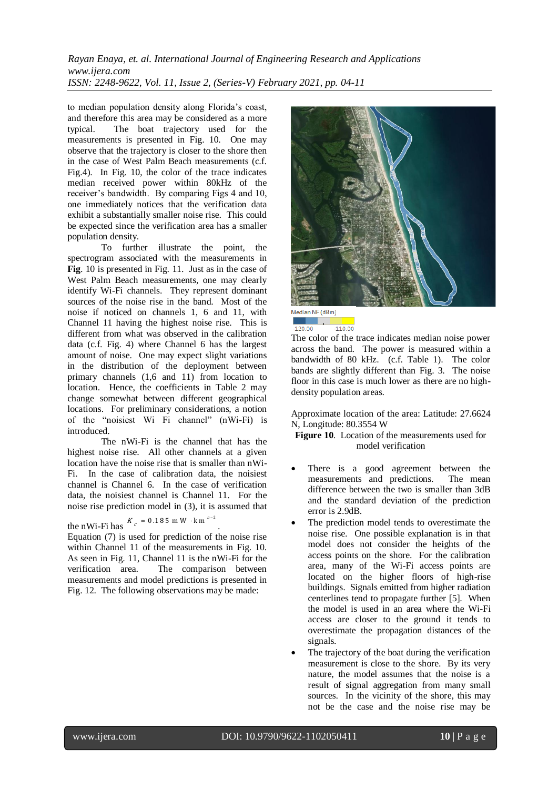## *Rayan Enaya, et. al. International Journal of Engineering Research and Applications www.ijera.com ISSN: 2248-9622, Vol. 11, Issue 2, (Series-V) February 2021, pp. 04-11*

to median population density along Florida's coast, and therefore this area may be considered as a more typical. The boat trajectory used for the measurements is presented in Fig. 10. One may observe that the trajectory is closer to the shore then in the case of West Palm Beach measurements (c.f. Fig.4). In Fig. 10, the color of the trace indicates median received power within 80kHz of the receiver's bandwidth. By comparing Figs 4 and 10, one immediately notices that the verification data exhibit a substantially smaller noise rise. This could be expected since the verification area has a smaller population density.

To further illustrate the point, the spectrogram associated with the measurements in **Fig**. 10 is presented in Fig. 11. Just as in the case of West Palm Beach measurements, one may clearly identify Wi-Fi channels. They represent dominant sources of the noise rise in the band. Most of the noise if noticed on channels 1, 6 and 11, with Channel 11 having the highest noise rise. This is different from what was observed in the calibration data (c.f. Fig. 4) where Channel 6 has the largest amount of noise. One may expect slight variations in the distribution of the deployment between primary channels (1,6 and 11) from location to location. Hence, the coefficients in Table 2 may change somewhat between different geographical locations. For preliminary considerations, a notion of the "noisiest Wi Fi channel" (nWi-Fi) is introduced.

The nWi-Fi is the channel that has the highest noise rise. All other channels at a given location have the noise rise that is smaller than nWi-Fi. In the case of calibration data, the noisiest channel is Channel 6. In the case of verification data, the noisiest channel is Channel 11. For the noise rise prediction model in (3), it is assumed that

the nWi-Fi has  $K_c = 0.185$  mW  $\cdot$  km<sup>n-2</sup>.

Equation (7) is used for prediction of the noise rise within Channel 11 of the measurements in Fig. 10. As seen in Fig. 11, Channel 11 is the nWi-Fi for the verification area. The comparison between measurements and model predictions is presented in Fig. 12. The following observations may be made:



Median NF (dBm)  $-120.00$  $-110.00$ 

The color of the trace indicates median noise power across the band. The power is measured within a bandwidth of 80 kHz. (c.f. Table 1). The color bands are slightly different than Fig. 3. The noise floor in this case is much lower as there are no highdensity population areas.

Approximate location of the area: Latitude: 27.6624 N, Longitude: 80.3554 W

**Figure 10**. Location of the measurements used for model verification

- There is a good agreement between the measurements and predictions. The mean difference between the two is smaller than 3dB and the standard deviation of the prediction error is 2.9dB.
- The prediction model tends to overestimate the noise rise. One possible explanation is in that model does not consider the heights of the access points on the shore. For the calibration area, many of the Wi-Fi access points are located on the higher floors of high-rise buildings. Signals emitted from higher radiation centerlines tend to propagate further [5]. When the model is used in an area where the Wi-Fi access are closer to the ground it tends to overestimate the propagation distances of the signals.
- The trajectory of the boat during the verification measurement is close to the shore. By its very nature, the model assumes that the noise is a result of signal aggregation from many small sources. In the vicinity of the shore, this may not be the case and the noise rise may be